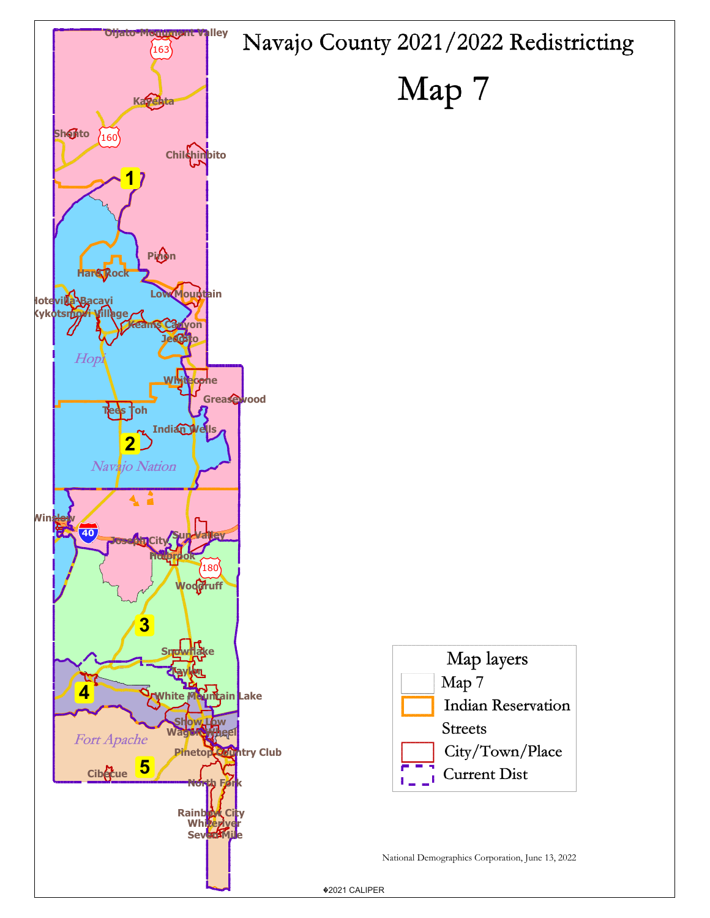